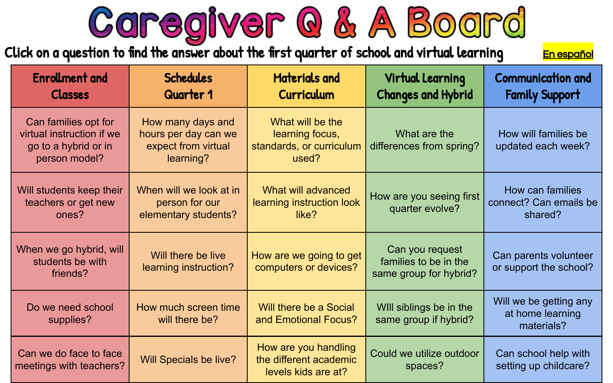Caregiver @ & A Board

<span id="page-0-0"></span>Click on a question to find the answer about the first quarter of school and virtual learning [En espa](#)ñol

| <b>Enrollment and</b><br><b>Classes</b>                                                    | <b>Schedules</b><br>Quarter 1                                                 | <b>Materials and</b><br>Curriculum                                       | Virtual Learning<br><b>Changes and Hybrid</b>                      | <b>Communication and</b><br><b>Family Support</b>        |
|--------------------------------------------------------------------------------------------|-------------------------------------------------------------------------------|--------------------------------------------------------------------------|--------------------------------------------------------------------|----------------------------------------------------------|
| Can families opt for<br>virtual instruction if we<br>go to a hybrid or in<br>person model? | How many days and<br>hours per day can we<br>expect from virtual<br>learning? | What will be the<br>learning focus,<br>standards, or curriculum<br>used? | What are the<br>differences from spring?                           | How will families be<br>updated each week?               |
| Will students keep their<br>teachers or get new<br>ones?                                   | When will we look at in<br>person for our<br>elementary students?             | What will advanced<br>learning instruction look<br>like?                 | How are you seeing first<br>quarter evolve?                        | How can families<br>connect? Can emails be<br>shared?    |
| When we go hybrid, will<br>students be with<br>friends?                                    | Will there be live<br>learning instruction?                                   | How are we going to get<br>computers or devices?                         | Can you request<br>families to be in the<br>same group for hybrid? | Can parents volunteer<br>or support the school?          |
| Do we need school<br>supplies?                                                             | How much screen time<br>will there be?                                        | Will there be a Social<br>and Emotional Focus?                           | Will siblings be in the<br>same group if hybrid?                   | Will we be getting any<br>at home learning<br>materials? |
| Can we do face to face<br>meetings with teachers?                                          | Will Specials be live?                                                        | How are you handling<br>the different academic<br>levels kids are at?    | Could we utilize outdoor<br>spaces?                                | Can school help with<br>setting up childcare?            |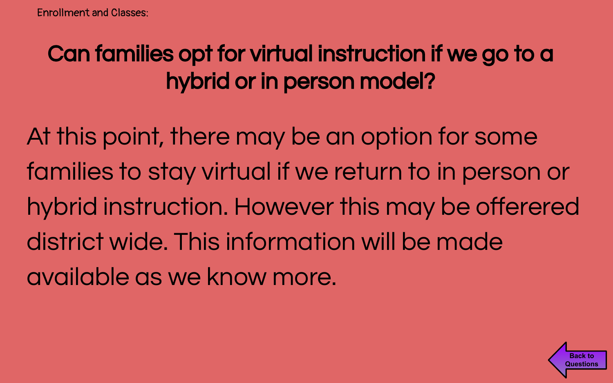# <span id="page-1-0"></span>Can families opt for virtual instruction if we go to a hybrid or in person model?

At this point, there may be an option for some families to stay virtual if we return to in person or hybrid instruction. However this may be offerered district wide. This information will be made available as we know more.

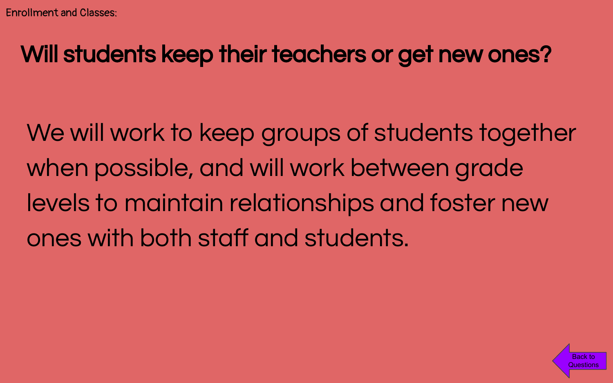#### <span id="page-2-0"></span>Will students keep their teachers or get new ones?

We will work to keep groups of students together when possible, and will work between grade levels to maintain relationships and foster new ones with both staff and students.

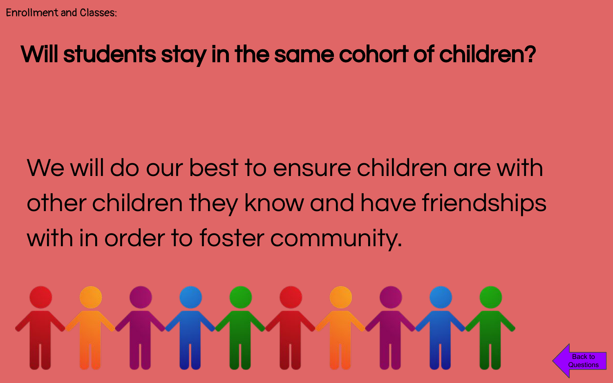## <span id="page-3-0"></span>Will students stay in the same cohort of children?

We will do our best to ensure children are with other children they know and have friendships with in order to foster community.

Back to **[Questions](#page-0-0)**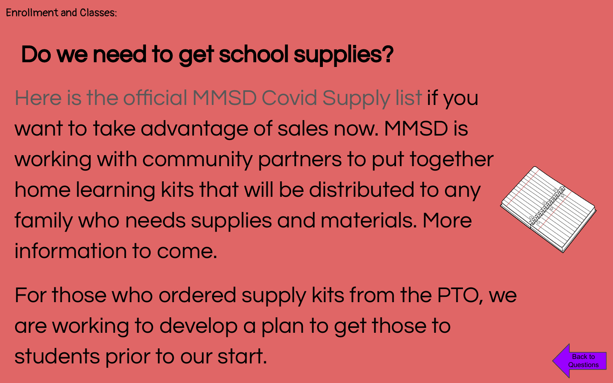### <span id="page-4-0"></span>Do we need to get school supplies?

- Here is the official MMSD Covid Supply list if you want to take advantage of sales now. MMSD is working with community partners to put together home learning kits that will be distributed to any family who needs supplies and materials. More information to come.
- For those who ordered supply kits from the PTO, we are working to develop a plan to get those to students prior to our start.



Back to **[Questions](#page-0-0)**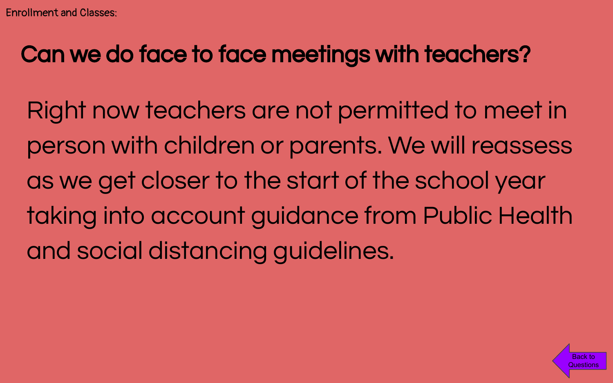### <span id="page-5-0"></span>Can we do face to face meetings with teachers?

Right now teachers are not permitted to meet in person with children or parents. We will reassess as we get closer to the start of the school year taking into account guidance from Public Health and social distancing guidelines.

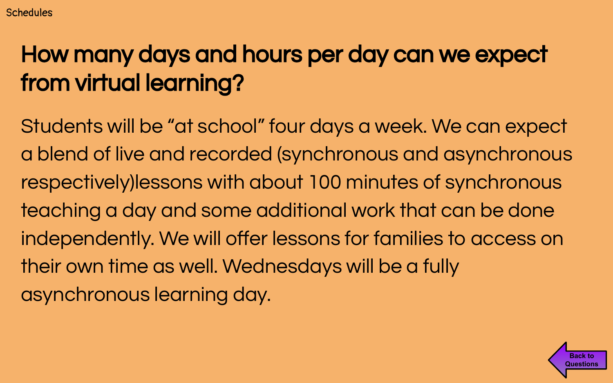# <span id="page-6-0"></span>How many days and hours per day can we expect from virtual learning?

Students will be "at school" four days a week. We can expect a blend of live and recorded (synchronous and asynchronous respectively)lessons with about 100 minutes of synchronous teaching a day and some additional work that can be done independently. We will offer lessons for families to access on their own time as well. Wednesdays will be a fully asynchronous learning day.

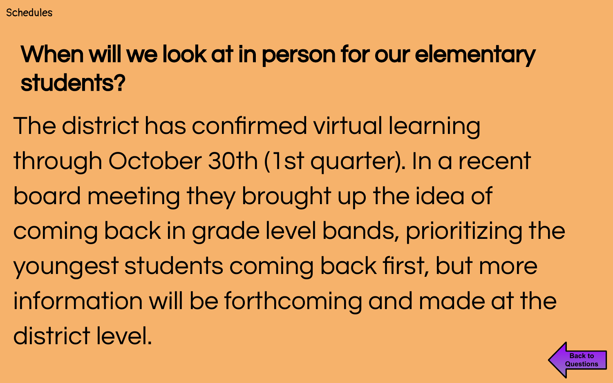# <span id="page-7-0"></span>When will we look at in person for our elementary students?

The district has confirmed virtual learning through October 30th (1st quarter). In a recent board meeting they brought up the idea of coming back in grade level bands, prioritizing the youngest students coming back first, but more information will be forthcoming and made at the district level.

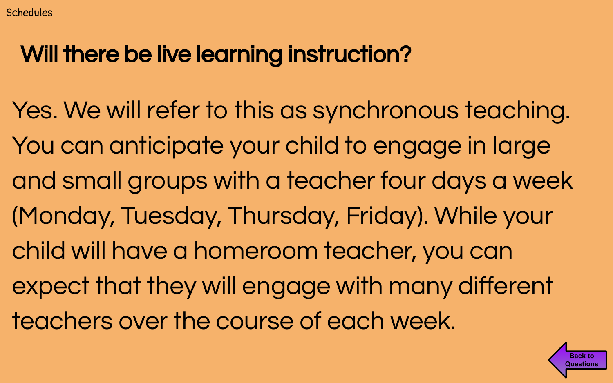# <span id="page-8-0"></span>Will there be live learning instruction?

Yes. We will refer to this as synchronous teaching. You can anticipate your child to engage in large and small groups with a teacher four days a week (Monday, Tuesday, Thursday, Friday). While your child will have a homeroom teacher, you can expect that they will engage with many different teachers over the course of each week.

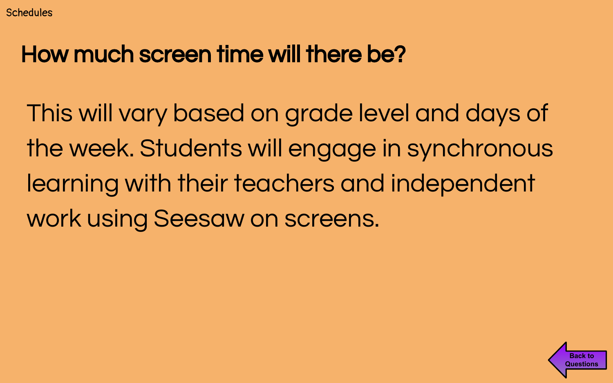#### <span id="page-9-0"></span>How much screen time will there be?

This will vary based on grade level and days of the week. Students will engage in synchronous learning with their teachers and independent work using Seesaw on screens.

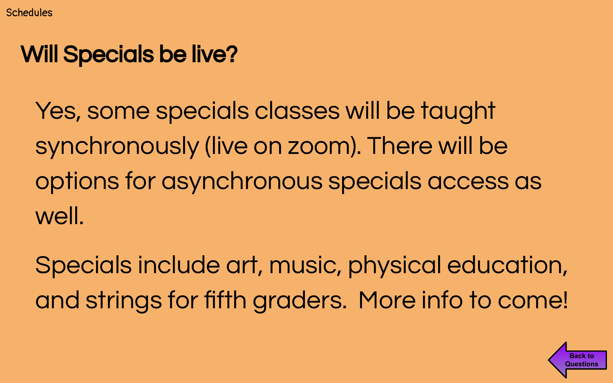## <span id="page-10-0"></span>Will Specials be live?

Yes, some specials classes will be taught synchronously (live on zoom). There will be options for asynchronous specials access as well.

Specials include art, music, physical education, and strings for fifth graders. More info to come!

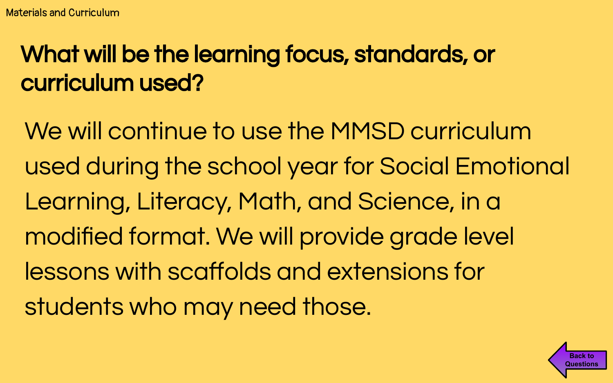# <span id="page-11-0"></span>What will be the learning focus, standards, or curriculum used?

We will continue to use the MMSD curriculum used during the school year for Social Emotional Learning, Literacy, Math, and Science, in a modified format. We will provide grade level lessons with scaffolds and extensions for students who may need those.

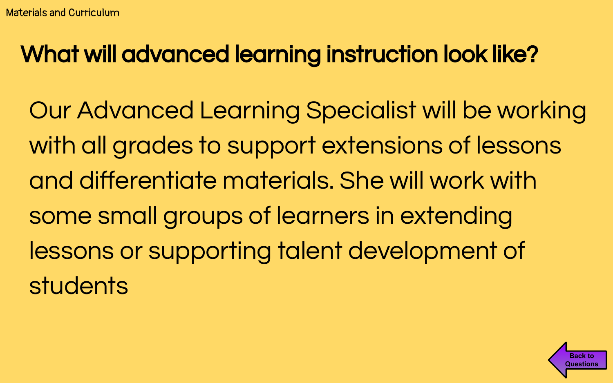# <span id="page-12-0"></span>What will advanced learning instruction look like?

Our Advanced Learning Specialist will be working with all grades to support extensions of lessons and differentiate materials. She will work with some small groups of learners in extending lessons or supporting talent development of **students** 

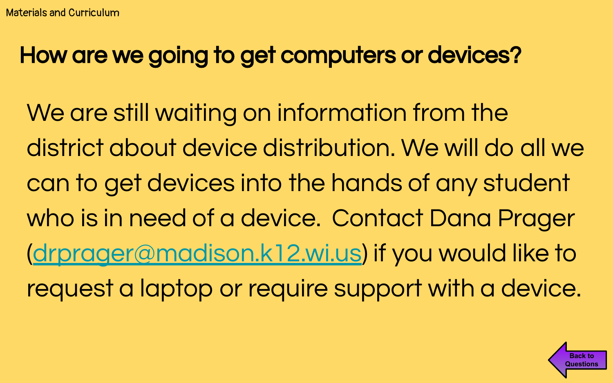#### <span id="page-13-0"></span>How are we going to get computers or devices?

We are still waiting on information from the district about device distribution. We will do all we can to get devices into the hands of any student who is in need of a device. Contact Dana Prager ([drprager@madison.k12.wi.us\)](mailto:drprager@madison.k12.wi.us) if you would like to request a laptop or require support with a device.

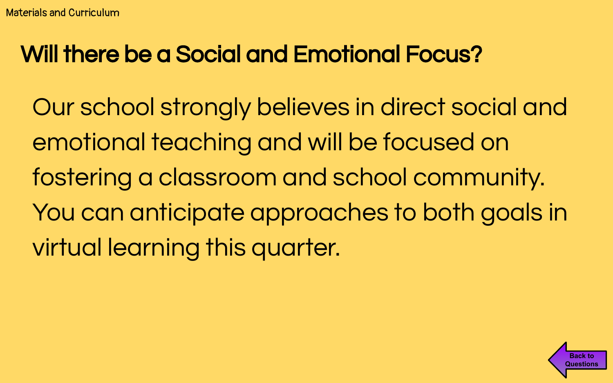#### <span id="page-14-0"></span>Will there be a Social and Emotional Focus?

Our school strongly believes in direct social and emotional teaching and will be focused on fostering a classroom and school community. You can anticipate approaches to both goals in virtual learning this quarter.

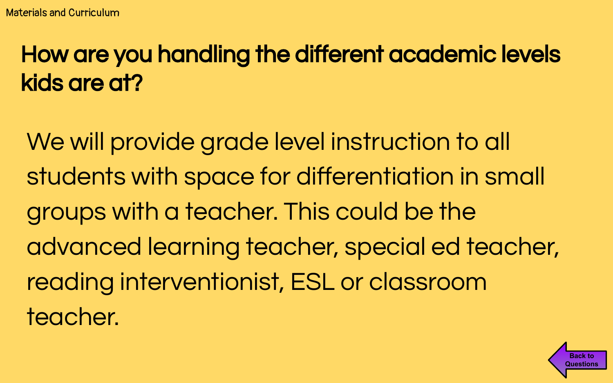# <span id="page-15-0"></span>How are you handling the different academic levels kids are at?

We will provide grade level instruction to all students with space for differentiation in small groups with a teacher. This could be the advanced learning teacher, special ed teacher, reading interventionist, ESL or classroom teacher.

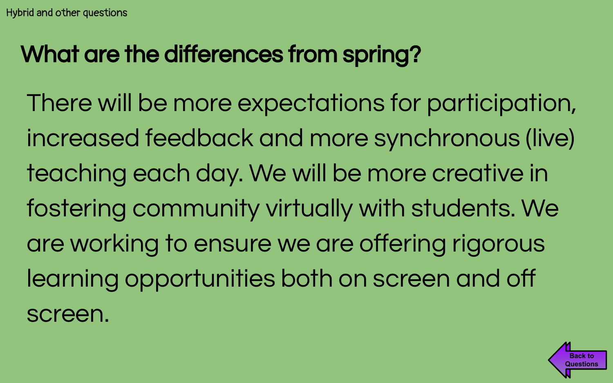# <span id="page-16-0"></span>What are the differences from spring?

There will be more expectations for participation, increased feedback and more synchronous (live) teaching each day. We will be more creative in fostering community virtually with students. We are working to ensure we are offering rigorous learning opportunities both on screen and off screen.

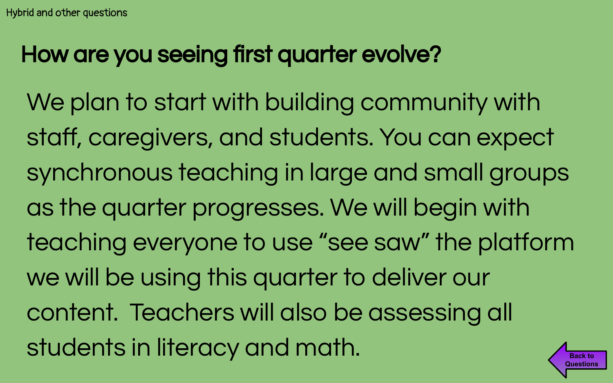# <span id="page-17-0"></span>How are you seeing first quarter evolve?

We plan to start with building community with staff, caregivers, and students. You can expect synchronous teaching in large and small groups as the quarter progresses. We will begin with teaching everyone to use "see saw" the platform we will be using this quarter to deliver our content. Teachers will also be assessing all students in literacy and math. **Back to [Questions](#page-0-0)**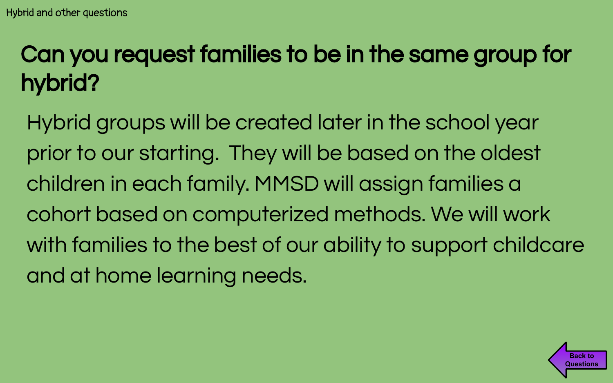# <span id="page-18-0"></span>Can you request families to be in the same group for hybrid?

Hybrid groups will be created later in the school year prior to our starting. They will be based on the oldest children in each family. MMSD will assign families a cohort based on computerized methods. We will work with families to the best of our ability to support childcare and at home learning needs.

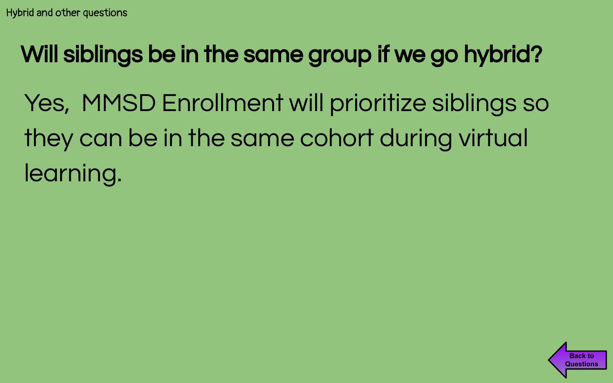# <span id="page-19-0"></span>Will siblings be in the same group if we go hybrid?

Yes, MMSD Enrollment will prioritize siblings so they can be in the same cohort during virtual learning.

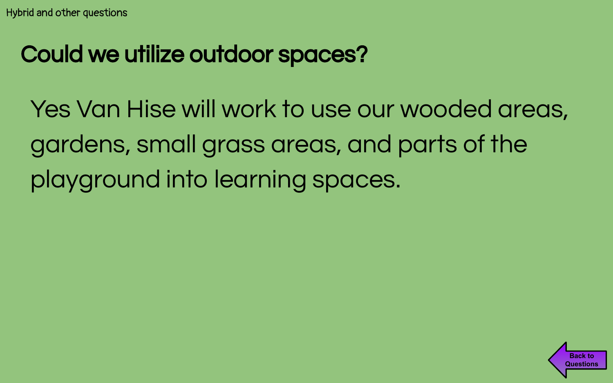# <span id="page-20-0"></span>Could we utilize outdoor spaces?

Yes Van Hise will work to use our wooded areas, gardens, small grass areas, and parts of the playground into learning spaces.

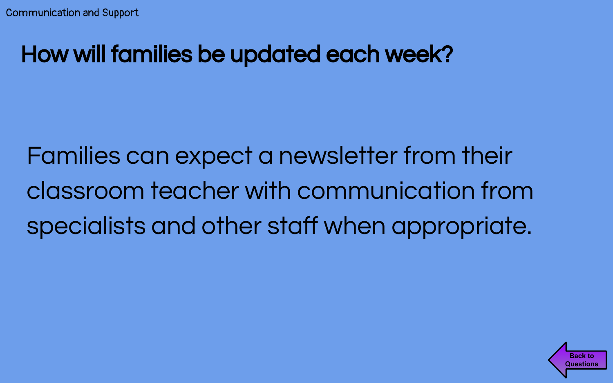## <span id="page-21-0"></span>How will families be updated each week?

Families can expect a newsletter from their classroom teacher with communication from specialists and other staff when appropriate.

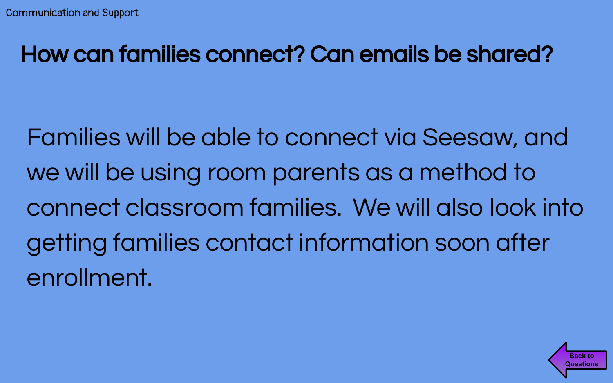#### <span id="page-22-0"></span>How can families connect? Can emails be shared?

Families will be able to connect via Seesaw, and we will be using room parents as a method to connect classroom families. We will also look into getting families contact information soon after enrollment.

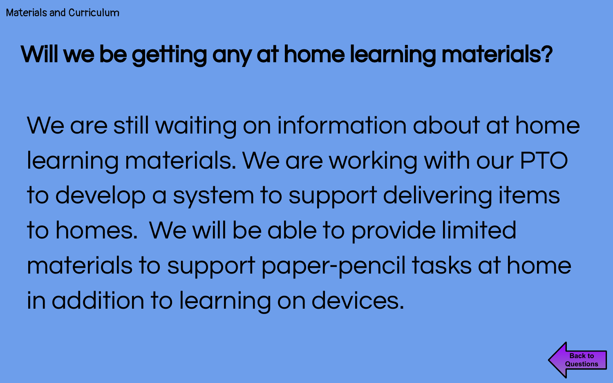# <span id="page-23-0"></span>Will we be getting any at home learning materials?

We are still waiting on information about at home learning materials. We are working with our PTO to develop a system to support delivering items to homes. We will be able to provide limited materials to support paper-pencil tasks at home in addition to learning on devices.

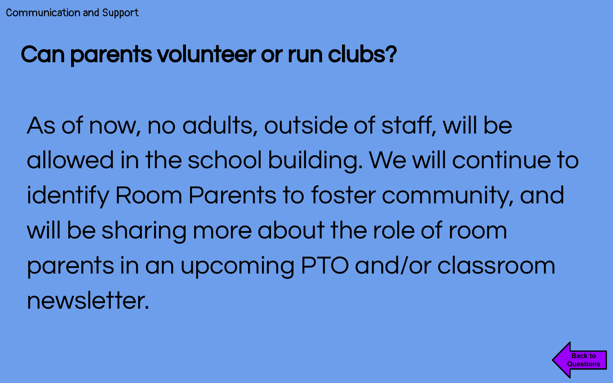#### <span id="page-24-0"></span>Can parents volunteer or run clubs?

As of now, no adults, outside of staff, will be allowed in the school building. We will continue to identify Room Parents to foster community, and will be sharing more about the role of room parents in an upcoming PTO and/or classroom newsletter.